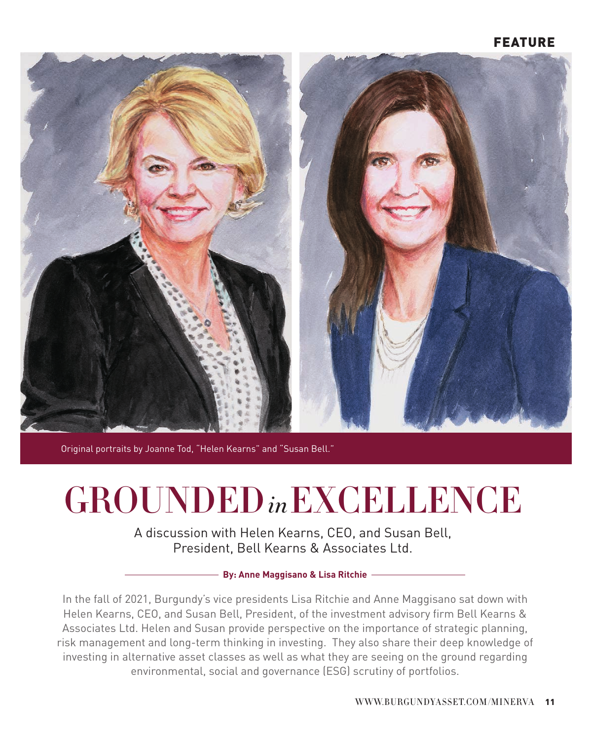

Original portraits by Joanne Tod, "Helen Kearns" and "Susan Bell."

# GROUNDED*in*EXCELLENCE

A discussion with Helen Kearns, CEO, and Susan Bell, President, Bell Kearns & Associates Ltd.

#### **By: Anne Maggisano & Lisa Ritchie**

In the fall of 2021, Burgundy's vice presidents Lisa Ritchie and Anne Maggisano sat down with Helen Kearns, CEO, and Susan Bell, President, of the investment advisory firm Bell Kearns & Associates Ltd. Helen and Susan provide perspective on the importance of strategic planning, risk management and long-term thinking in investing. They also share their deep knowledge of investing in alternative asset classes as well as what they are seeing on the ground regarding environmental, social and governance (ESG) scrutiny of portfolios.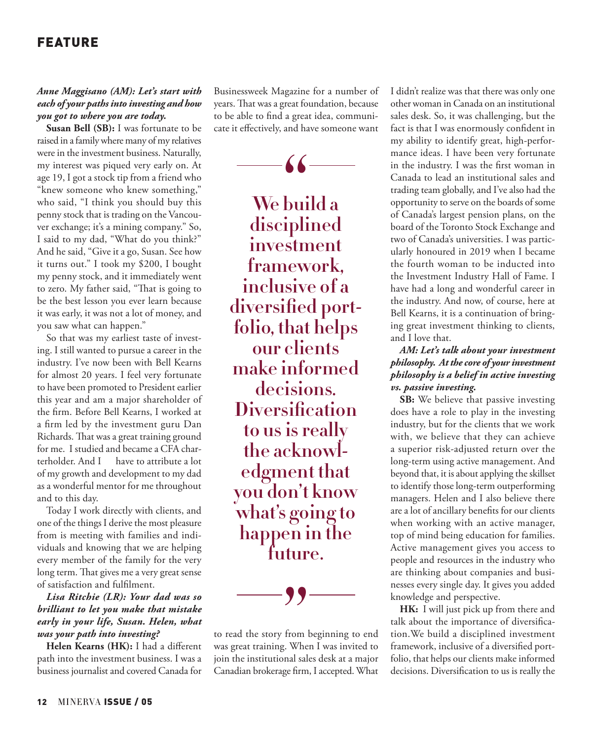#### *Anne Maggisano (AM): Let's start with each of your paths into investing and how you got to where you are today.*

**Susan Bell (SB):** I was fortunate to be raised in a family where many of my relatives were in the investment business. Naturally, my interest was piqued very early on. At age 19, I got a stock tip from a friend who "knew someone who knew something," who said, "I think you should buy this penny stock that is trading on the Vancouver exchange; it's a mining company." So, I said to my dad, "What do you think?" And he said, "Give it a go, Susan. See how it turns out." I took my \$200, I bought my penny stock, and it immediately went to zero. My father said, "That is going to be the best lesson you ever learn because it was early, it was not a lot of money, and you saw what can happen."

So that was my earliest taste of investing. I still wanted to pursue a career in the industry. I've now been with Bell Kearns for almost 20 years. I feel very fortunate to have been promoted to President earlier this year and am a major shareholder of the firm. Before Bell Kearns, I worked at a firm led by the investment guru Dan Richards. That was a great training ground for me. I studied and became a CFA charterholder. And I have to attribute a lot of my growth and development to my dad as a wonderful mentor for me throughout and to this day.

Today I work directly with clients, and one of the things I derive the most pleasure from is meeting with families and individuals and knowing that we are helping every member of the family for the very long term. That gives me a very great sense of satisfaction and fulfilment.

## *Lisa Ritchie (LR): Your dad was so brilliant to let you make that mistake early in your life, Susan. Helen, what was your path into investing?*

**Helen Kearns (HK):** I had a different path into the investment business. I was a business journalist and covered Canada for

Businessweek Magazine for a number of years. That was a great foundation, because to be able to find a great idea, communicate it effectively, and have someone want



66<br>
bui<br>
inli **We build a disciplined investment framework, inclusive of a diversified portfolio, that helps our clients make informed decisions. Diversification to us is really the acknowledgment that you don't know what's going to happen in the** 



to read the story from beginning to end was great training. When I was invited to join the institutional sales desk at a major Canadian brokerage firm, I accepted. What I didn't realize was that there was only one other woman in Canada on an institutional sales desk. So, it was challenging, but the fact is that I was enormously confident in my ability to identify great, high-performance ideas. I have been very fortunate in the industry. I was the first woman in Canada to lead an institutional sales and trading team globally, and I've also had the opportunity to serve on the boards of some of Canada's largest pension plans, on the board of the Toronto Stock Exchange and two of Canada's universities. I was particularly honoured in 2019 when I became the fourth woman to be inducted into the Investment Industry Hall of Fame. I have had a long and wonderful career in the industry. And now, of course, here at Bell Kearns, it is a continuation of bringing great investment thinking to clients, and I love that.

## *AM: Let's talk about your investment philosophy. At the core of your investment philosophy is a belief in active investing vs. passive investing.*

**SB:** We believe that passive investing does have a role to play in the investing industry, but for the clients that we work with, we believe that they can achieve a superior risk-adjusted return over the long-term using active management. And beyond that, it is about applying the skillset to identify those long-term outperforming managers. Helen and I also believe there are a lot of ancillary benefits for our clients when working with an active manager, top of mind being education for families. Active management gives you access to people and resources in the industry who are thinking about companies and businesses every single day. It gives you added knowledge and perspective.

**HK:** I will just pick up from there and talk about the importance of diversification.We build a disciplined investment framework, inclusive of a diversified portfolio, that helps our clients make informed decisions. Diversification to us is really the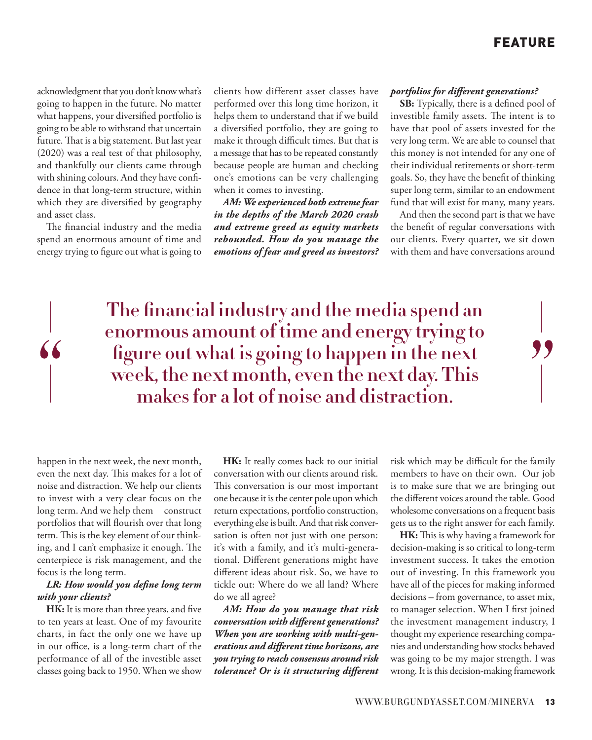acknowledgment that you don't know what's going to happen in the future. No matter what happens, your diversified portfolio is going to be able to withstand that uncertain future. That is a big statement. But last year (2020) was a real test of that philosophy, and thankfully our clients came through with shining colours. And they have confidence in that long-term structure, within which they are diversified by geography and asset class.

The financial industry and the media spend an enormous amount of time and energy trying to figure out what is going to

clients how different asset classes have performed over this long time horizon, it helps them to understand that if we build a diversified portfolio, they are going to make it through difficult times. But that is a message that has to be repeated constantly because people are human and checking one's emotions can be very challenging when it comes to investing.

*AM: We experienced both extreme fear in the depths of the March 2020 crash and extreme greed as equity markets rebounded. How do you manage the emotions of fear and greed as investors?*

#### *portfolios for different generations?*

**SB:** Typically, there is a defined pool of investible family assets. The intent is to have that pool of assets invested for the very long term. We are able to counsel that this money is not intended for any one of their individual retirements or short-term goals. So, they have the benefit of thinking super long term, similar to an endowment fund that will exist for many, many years.

And then the second part is that we have the benefit of regular conversations with our clients. Every quarter, we sit down with them and have conversations around

**The financial industry and the media spend an enormous amount of time and energy trying to figure out what is going to happen in the next week, the next month, even the next day. This makes for a lot of noise and distraction.** 

happen in the next week, the next month, even the next day. This makes for a lot of noise and distraction. We help our clients to invest with a very clear focus on the long term. And we help them construct portfolios that will flourish over that long term. This is the key element of our thinking, and I can't emphasize it enough. The centerpiece is risk management, and the focus is the long term.

## *LR: How would you define long term with your clients?*

**HK:** It is more than three years, and five to ten years at least. One of my favourite charts, in fact the only one we have up in our office, is a long-term chart of the performance of all of the investible asset classes going back to 1950. When we show

**HK:** It really comes back to our initial conversation with our clients around risk. This conversation is our most important one because it is the center pole upon which return expectations, portfolio construction, everything else is built. And that risk conversation is often not just with one person: it's with a family, and it's multi-generational. Different generations might have different ideas about risk. So, we have to tickle out: Where do we all land? Where do we all agree?

*AM: How do you manage that risk conversation with different generations? When you are working with multi-generations and different time horizons, are you trying to reach consensus around risk tolerance? Or is it structuring different* 

risk which may be difficult for the family members to have on their own. Our job is to make sure that we are bringing out the different voices around the table. Good wholesome conversations on a frequent basis gets us to the right answer for each family.

**HK:** This is why having a framework for decision-making is so critical to long-term investment success. It takes the emotion out of investing. In this framework you have all of the pieces for making informed decisions – from governance, to asset mix, to manager selection. When I first joined the investment management industry, I thought my experience researching companies and understanding how stocks behaved was going to be my major strength. I was wrong. It is this decision-making framework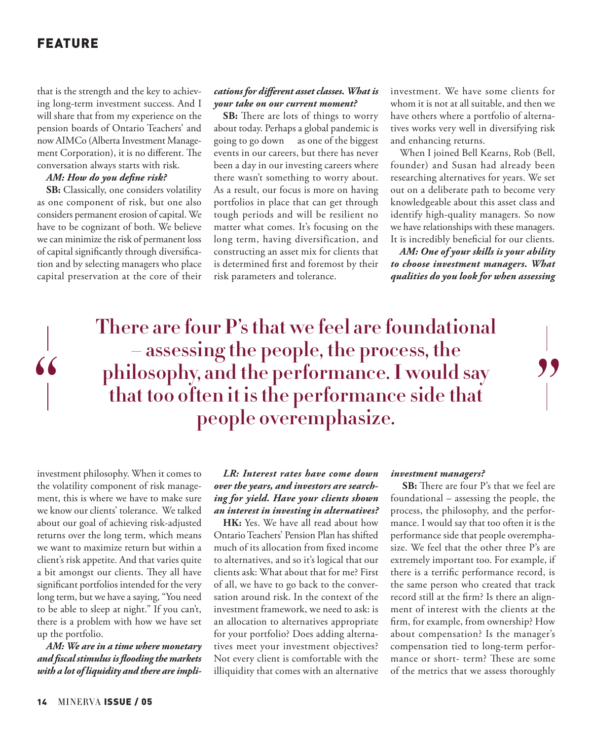$66$ 

that is the strength and the key to achieving long-term investment success. And I will share that from my experience on the pension boards of Ontario Teachers' and now AIMCo (Alberta Investment Management Corporation), it is no different. The conversation always starts with risk.

#### *AM: How do you define risk?*

**SB:** Classically, one considers volatility as one component of risk, but one also considers permanent erosion of capital. We have to be cognizant of both. We believe we can minimize the risk of permanent loss of capital significantly through diversification and by selecting managers who place capital preservation at the core of their

#### *cations for different asset classes. What is your take on our current moment?*

**SB:** There are lots of things to worry about today. Perhaps a global pandemic is going to go down as one of the biggest events in our careers, but there has never been a day in our investing careers where there wasn't something to worry about. As a result, our focus is more on having portfolios in place that can get through tough periods and will be resilient no matter what comes. It's focusing on the long term, having diversification, and constructing an asset mix for clients that is determined first and foremost by their risk parameters and tolerance.

investment. We have some clients for whom it is not at all suitable, and then we have others where a portfolio of alternatives works very well in diversifying risk and enhancing returns.

When I joined Bell Kearns, Rob (Bell, founder) and Susan had already been researching alternatives for years. We set out on a deliberate path to become very knowledgeable about this asset class and identify high-quality managers. So now we have relationships with these managers. It is incredibly beneficial for our clients.

*AM: One of your skills is your ability to choose investment managers. What qualities do you look for when assessing* 

"

**There are four P's that we feel are foundational – assessing the people, the process, the philosophy, and the performance. I would say that too often it is the performance side that people overemphasize.**

investment philosophy. When it comes to the volatility component of risk management, this is where we have to make sure we know our clients' tolerance. We talked about our goal of achieving risk-adjusted returns over the long term, which means we want to maximize return but within a client's risk appetite. And that varies quite a bit amongst our clients. They all have significant portfolios intended for the very long term, but we have a saying, "You need to be able to sleep at night." If you can't, there is a problem with how we have set up the portfolio.

*AM: We are in a time where monetary and fiscal stimulus is flooding the markets with a lot of liquidity and there are impli-*

*LR: Interest rates have come down over the years, and investors are searching for yield. Have your clients shown an interest in investing in alternatives?* 

**HK:** Yes. We have all read about how Ontario Teachers' Pension Plan has shifted much of its allocation from fixed income to alternatives, and so it's logical that our clients ask: What about that for me? First of all, we have to go back to the conversation around risk. In the context of the investment framework, we need to ask: is an allocation to alternatives appropriate for your portfolio? Does adding alternatives meet your investment objectives? Not every client is comfortable with the illiquidity that comes with an alternative

#### *investment managers?*

**SB:** There are four P's that we feel are foundational – assessing the people, the process, the philosophy, and the performance. I would say that too often it is the performance side that people overemphasize. We feel that the other three P's are extremely important too. For example, if there is a terrific performance record, is the same person who created that track record still at the firm? Is there an alignment of interest with the clients at the firm, for example, from ownership? How about compensation? Is the manager's compensation tied to long-term performance or short- term? These are some of the metrics that we assess thoroughly